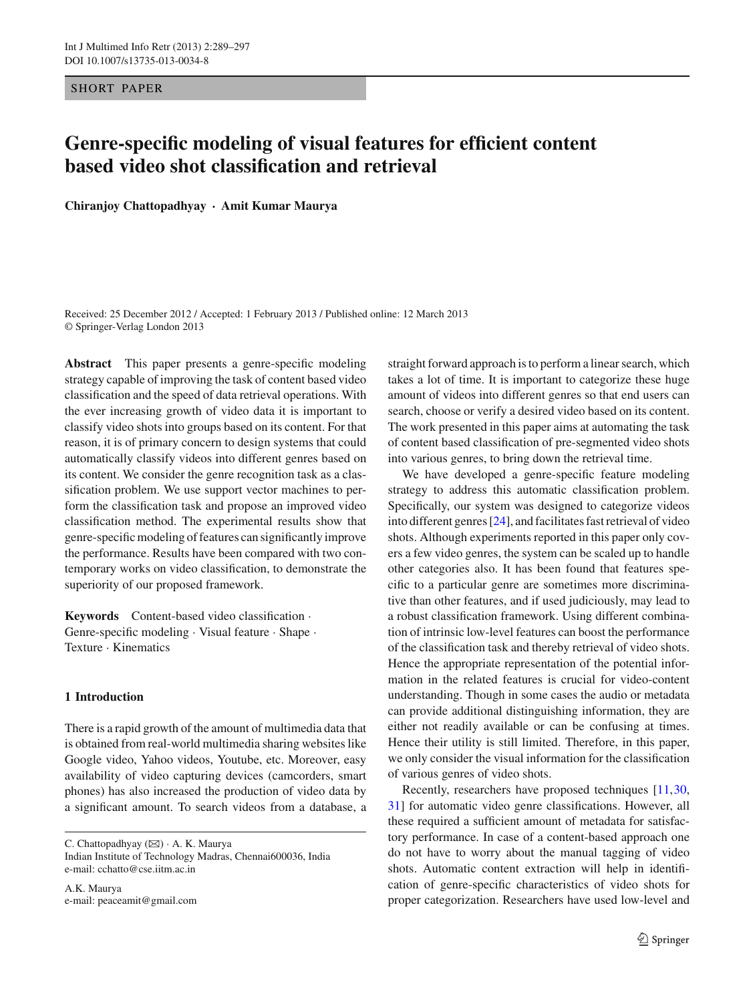SHORT PAPER

# **Genre-specific modeling of visual features for efficient content based video shot classification and retrieval**

**Chiranjoy Chattopadhyay** · **Amit Kumar Maurya**

Received: 25 December 2012 / Accepted: 1 February 2013 / Published online: 12 March 2013 © Springer-Verlag London 2013

**Abstract** This paper presents a genre-specific modeling strategy capable of improving the task of content based video classification and the speed of data retrieval operations. With the ever increasing growth of video data it is important to classify video shots into groups based on its content. For that reason, it is of primary concern to design systems that could automatically classify videos into different genres based on its content. We consider the genre recognition task as a classification problem. We use support vector machines to perform the classification task and propose an improved video classification method. The experimental results show that genre-specific modeling of features can significantly improve the performance. Results have been compared with two contemporary works on video classification, to demonstrate the superiority of our proposed framework.

**Keywords** Content-based video classification · Genre-specific modeling · Visual feature · Shape · Texture · Kinematics

# **1 Introduction**

There is a rapid growth of the amount of multimedia data that is obtained from real-world multimedia sharing websites like Google video, Yahoo videos, Youtube, etc. Moreover, easy availability of video capturing devices (camcorders, smart phones) has also increased the production of video data by a significant amount. To search videos from a database, a

C. Chattopadhyay ( $\boxtimes$ ) · A. K. Maurya Indian Institute of Technology Madras, Chennai600036, India e-mail: cchatto@cse.iitm.ac.in

A.K. Maurya e-mail: peaceamit@gmail.com straight forward approach is to perform a linear search, which takes a lot of time. It is important to categorize these huge amount of videos into different genres so that end users can search, choose or verify a desired video based on its content. The work presented in this paper aims at automating the task of content based classification of pre-segmented video shots into various genres, to bring down the retrieval time.

We have developed a genre-specific feature modeling strategy to address this automatic classification problem. Specifically, our system was designed to categorize videos into different genres [\[24](#page-7-0)], and facilitates fast retrieval of video shots. Although experiments reported in this paper only covers a few video genres, the system can be scaled up to handle other categories also. It has been found that features specific to a particular genre are sometimes more discriminative than other features, and if used judiciously, may lead to a robust classification framework. Using different combination of intrinsic low-level features can boost the performance of the classification task and thereby retrieval of video shots. Hence the appropriate representation of the potential information in the related features is crucial for video-content understanding. Though in some cases the audio or metadata can provide additional distinguishing information, they are either not readily available or can be confusing at times. Hence their utility is still limited. Therefore, in this paper, we only consider the visual information for the classification of various genres of video shots.

Recently, researchers have proposed techniques [\[11,](#page-7-1)[30,](#page-8-0) [31](#page-8-1)] for automatic video genre classifications. However, all these required a sufficient amount of metadata for satisfactory performance. In case of a content-based approach one do not have to worry about the manual tagging of video shots. Automatic content extraction will help in identification of genre-specific characteristics of video shots for proper categorization. Researchers have used low-level and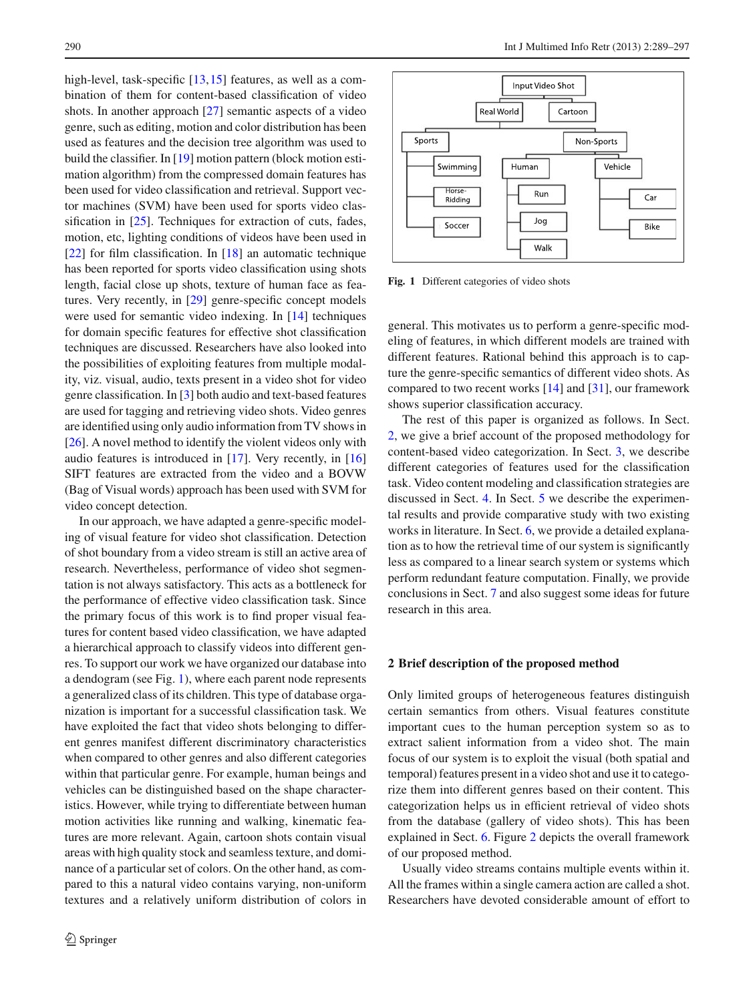high-level, task-specific [\[13](#page-7-2),[15\]](#page-7-3) features, as well as a combination of them for content-based classification of video shots. In another approach [\[27](#page-8-2)] semantic aspects of a video genre, such as editing, motion and color distribution has been used as features and the decision tree algorithm was used to build the classifier. In [\[19\]](#page-7-4) motion pattern (block motion estimation algorithm) from the compressed domain features has been used for video classification and retrieval. Support vector machines (SVM) have been used for sports video classification in [\[25\]](#page-7-5). Techniques for extraction of cuts, fades, motion, etc, lighting conditions of videos have been used in [\[22](#page-7-6)] for film classification. In [\[18](#page-7-7)] an automatic technique has been reported for sports video classification using shots length, facial close up shots, texture of human face as features. Very recently, in [\[29](#page-8-3)] genre-specific concept models were used for semantic video indexing. In [\[14\]](#page-7-8) techniques for domain specific features for effective shot classification techniques are discussed. Researchers have also looked into the possibilities of exploiting features from multiple modality, viz. visual, audio, texts present in a video shot for video genre classification. In [\[3\]](#page-7-9) both audio and text-based features are used for tagging and retrieving video shots. Video genres are identified using only audio information from TV shows in [\[26](#page-8-4)]. A novel method to identify the violent videos only with audio features is introduced in [\[17](#page-7-10)]. Very recently, in [\[16\]](#page-7-11) SIFT features are extracted from the video and a BOVW (Bag of Visual words) approach has been used with SVM for video concept detection.

In our approach, we have adapted a genre-specific modeling of visual feature for video shot classification. Detection of shot boundary from a video stream is still an active area of research. Nevertheless, performance of video shot segmentation is not always satisfactory. This acts as a bottleneck for the performance of effective video classification task. Since the primary focus of this work is to find proper visual features for content based video classification, we have adapted a hierarchical approach to classify videos into different genres. To support our work we have organized our database into a dendogram (see Fig. [1\)](#page-1-0), where each parent node represents a generalized class of its children. This type of database organization is important for a successful classification task. We have exploited the fact that video shots belonging to different genres manifest different discriminatory characteristics when compared to other genres and also different categories within that particular genre. For example, human beings and vehicles can be distinguished based on the shape characteristics. However, while trying to differentiate between human motion activities like running and walking, kinematic features are more relevant. Again, cartoon shots contain visual areas with high quality stock and seamless texture, and dominance of a particular set of colors. On the other hand, as compared to this a natural video contains varying, non-uniform textures and a relatively uniform distribution of colors in



<span id="page-1-0"></span>**Fig. 1** Different categories of video shots

general. This motivates us to perform a genre-specific modeling of features, in which different models are trained with different features. Rational behind this approach is to capture the genre-specific semantics of different video shots. As compared to two recent works [\[14\]](#page-7-8) and [\[31](#page-8-1)], our framework shows superior classification accuracy.

The rest of this paper is organized as follows. In Sect. [2,](#page-1-1) we give a brief account of the proposed methodology for content-based video categorization. In Sect. [3,](#page-2-0) we describe different categories of features used for the classification task. Video content modeling and classification strategies are discussed in Sect. [4.](#page-4-0) In Sect. [5](#page-4-1) we describe the experimental results and provide comparative study with two existing works in literature. In Sect. [6,](#page-7-12) we provide a detailed explanation as to how the retrieval time of our system is significantly less as compared to a linear search system or systems which perform redundant feature computation. Finally, we provide conclusions in Sect. [7](#page-7-13) and also suggest some ideas for future research in this area.

#### <span id="page-1-1"></span>**2 Brief description of the proposed method**

Only limited groups of heterogeneous features distinguish certain semantics from others. Visual features constitute important cues to the human perception system so as to extract salient information from a video shot. The main focus of our system is to exploit the visual (both spatial and temporal) features present in a video shot and use it to categorize them into different genres based on their content. This categorization helps us in efficient retrieval of video shots from the database (gallery of video shots). This has been explained in Sect. [6.](#page-7-12) Figure [2](#page-2-1) depicts the overall framework of our proposed method.

Usually video streams contains multiple events within it. All the frames within a single camera action are called a shot. Researchers have devoted considerable amount of effort to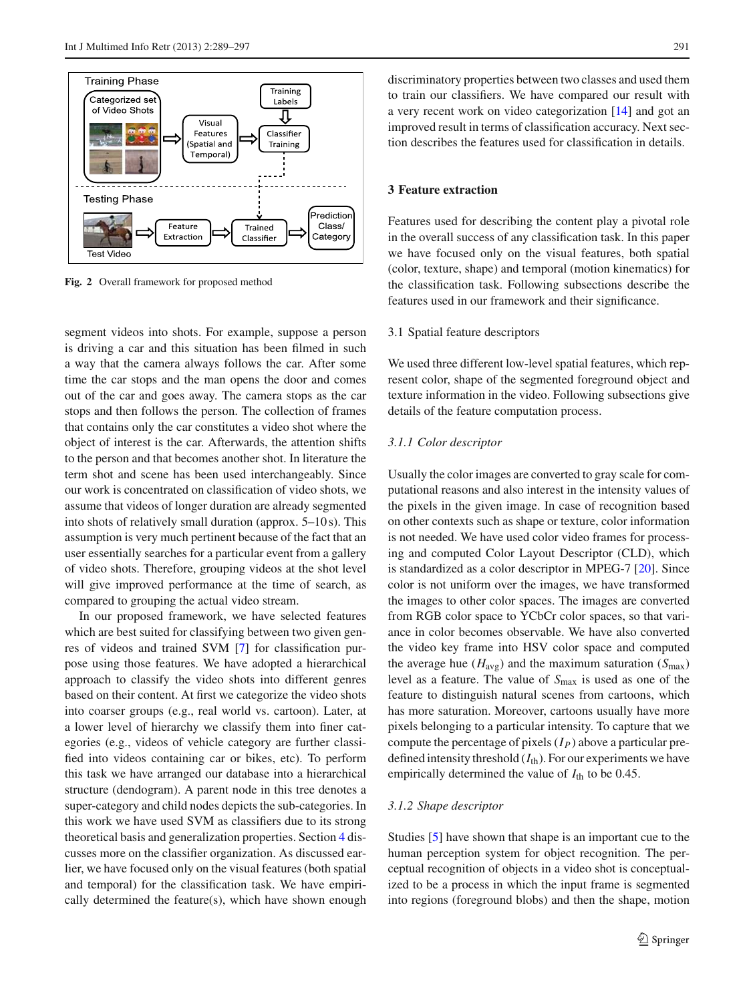

<span id="page-2-1"></span>**Fig. 2** Overall framework for proposed method

segment videos into shots. For example, suppose a person is driving a car and this situation has been filmed in such a way that the camera always follows the car. After some time the car stops and the man opens the door and comes out of the car and goes away. The camera stops as the car stops and then follows the person. The collection of frames that contains only the car constitutes a video shot where the object of interest is the car. Afterwards, the attention shifts to the person and that becomes another shot. In literature the term shot and scene has been used interchangeably. Since our work is concentrated on classification of video shots, we assume that videos of longer duration are already segmented into shots of relatively small duration (approx. 5–10 s). This assumption is very much pertinent because of the fact that an user essentially searches for a particular event from a gallery of video shots. Therefore, grouping videos at the shot level will give improved performance at the time of search, as compared to grouping the actual video stream.

In our proposed framework, we have selected features which are best suited for classifying between two given genres of videos and trained SVM [\[7](#page-7-14)] for classification purpose using those features. We have adopted a hierarchical approach to classify the video shots into different genres based on their content. At first we categorize the video shots into coarser groups (e.g., real world vs. cartoon). Later, at a lower level of hierarchy we classify them into finer categories (e.g., videos of vehicle category are further classified into videos containing car or bikes, etc). To perform this task we have arranged our database into a hierarchical structure (dendogram). A parent node in this tree denotes a super-category and child nodes depicts the sub-categories. In this work we have used SVM as classifiers due to its strong theoretical basis and generalization properties. Section [4](#page-4-0) discusses more on the classifier organization. As discussed earlier, we have focused only on the visual features (both spatial and temporal) for the classification task. We have empirically determined the feature(s), which have shown enough discriminatory properties between two classes and used them to train our classifiers. We have compared our result with a very recent work on video categorization [\[14](#page-7-8)] and got an improved result in terms of classification accuracy. Next section describes the features used for classification in details.

#### <span id="page-2-0"></span>**3 Feature extraction**

Features used for describing the content play a pivotal role in the overall success of any classification task. In this paper we have focused only on the visual features, both spatial (color, texture, shape) and temporal (motion kinematics) for the classification task. Following subsections describe the features used in our framework and their significance.

## 3.1 Spatial feature descriptors

We used three different low-level spatial features, which represent color, shape of the segmented foreground object and texture information in the video. Following subsections give details of the feature computation process.

# *3.1.1 Color descriptor*

Usually the color images are converted to gray scale for computational reasons and also interest in the intensity values of the pixels in the given image. In case of recognition based on other contexts such as shape or texture, color information is not needed. We have used color video frames for processing and computed Color Layout Descriptor (CLD), which is standardized as a color descriptor in MPEG-7 [\[20\]](#page-7-15). Since color is not uniform over the images, we have transformed the images to other color spaces. The images are converted from RGB color space to YCbCr color spaces, so that variance in color becomes observable. We have also converted the video key frame into HSV color space and computed the average hue  $(H_{\text{avg}})$  and the maximum saturation  $(S_{\text{max}})$ level as a feature. The value of *S*max is used as one of the feature to distinguish natural scenes from cartoons, which has more saturation. Moreover, cartoons usually have more pixels belonging to a particular intensity. To capture that we compute the percentage of pixels (*IP*) above a particular predefined intensity threshold  $(I_{th})$ . For our experiments we have empirically determined the value of  $I_{\text{th}}$  to be 0.45.

# <span id="page-2-2"></span>*3.1.2 Shape descriptor*

Studies [\[5](#page-7-16)] have shown that shape is an important cue to the human perception system for object recognition. The perceptual recognition of objects in a video shot is conceptualized to be a process in which the input frame is segmented into regions (foreground blobs) and then the shape, motion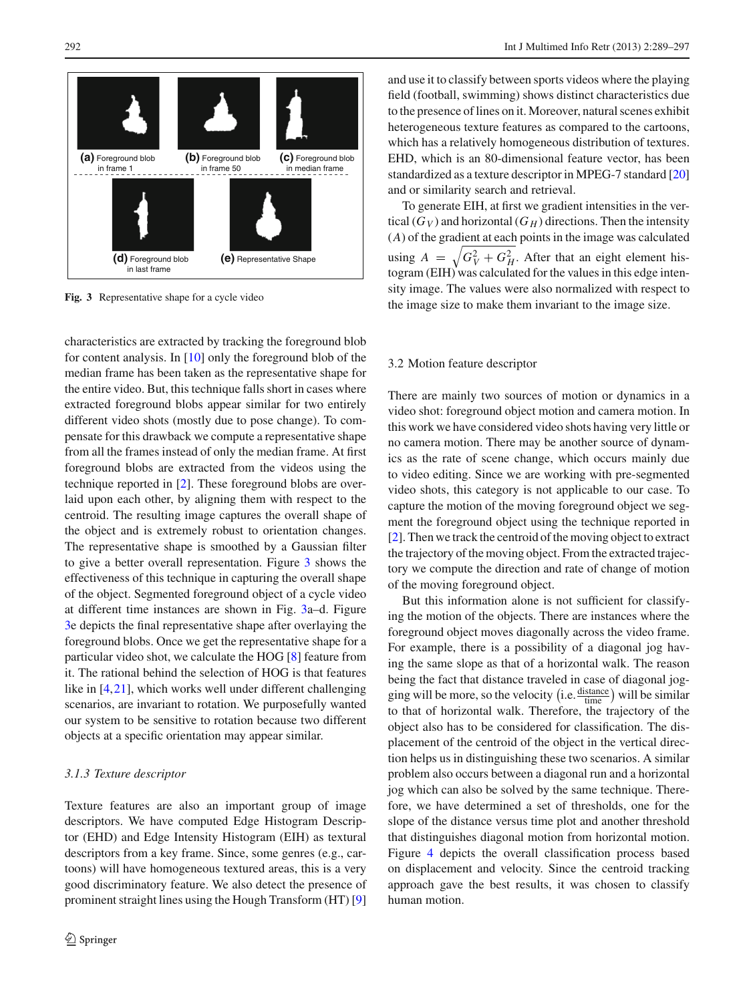

<span id="page-3-0"></span>**Fig. 3** Representative shape for a cycle video

characteristics are extracted by tracking the foreground blob for content analysis. In [\[10](#page-7-17)] only the foreground blob of the median frame has been taken as the representative shape for the entire video. But, this technique falls short in cases where extracted foreground blobs appear similar for two entirely different video shots (mostly due to pose change). To compensate for this drawback we compute a representative shape from all the frames instead of only the median frame. At first foreground blobs are extracted from the videos using the technique reported in [\[2](#page-7-18)]. These foreground blobs are overlaid upon each other, by aligning them with respect to the centroid. The resulting image captures the overall shape of the object and is extremely robust to orientation changes. The representative shape is smoothed by a Gaussian filter to give a better overall representation. Figure [3](#page-3-0) shows the effectiveness of this technique in capturing the overall shape of the object. Segmented foreground object of a cycle video at different time instances are shown in Fig. [3a](#page-3-0)–d. Figure [3e](#page-3-0) depicts the final representative shape after overlaying the foreground blobs. Once we get the representative shape for a particular video shot, we calculate the HOG [\[8\]](#page-7-19) feature from it. The rational behind the selection of HOG is that features like in [\[4,](#page-7-20)[21\]](#page-7-21), which works well under different challenging scenarios, are invariant to rotation. We purposefully wanted our system to be sensitive to rotation because two different objects at a specific orientation may appear similar.

#### *3.1.3 Texture descriptor*

Texture features are also an important group of image descriptors. We have computed Edge Histogram Descriptor (EHD) and Edge Intensity Histogram (EIH) as textural descriptors from a key frame. Since, some genres (e.g., cartoons) will have homogeneous textured areas, this is a very good discriminatory feature. We also detect the presence of prominent straight lines using the Hough Transform (HT) [\[9\]](#page-7-22) and use it to classify between sports videos where the playing field (football, swimming) shows distinct characteristics due to the presence of lines on it. Moreover, natural scenes exhibit heterogeneous texture features as compared to the cartoons, which has a relatively homogeneous distribution of textures. EHD, which is an 80-dimensional feature vector, has been standardized as a texture descriptor in MPEG-7 standard [\[20\]](#page-7-15) and or similarity search and retrieval.

To generate EIH, at first we gradient intensities in the vertical  $(G_V)$  and horizontal  $(G_H)$  directions. Then the intensity (*A*) of the gradient at each points in the image was calculated using  $A = \sqrt{G_V^2 + G_H^2}$ . After that an eight element histogram (EIH) was calculated for the values in this edge intensity image. The values were also normalized with respect to the image size to make them invariant to the image size.

# <span id="page-3-1"></span>3.2 Motion feature descriptor

There are mainly two sources of motion or dynamics in a video shot: foreground object motion and camera motion. In this work we have considered video shots having very little or no camera motion. There may be another source of dynamics as the rate of scene change, which occurs mainly due to video editing. Since we are working with pre-segmented video shots, this category is not applicable to our case. To capture the motion of the moving foreground object we segment the foreground object using the technique reported in [\[2](#page-7-18)]. Then we track the centroid of the moving object to extract the trajectory of the moving object. From the extracted trajectory we compute the direction and rate of change of motion of the moving foreground object.

But this information alone is not sufficient for classifying the motion of the objects. There are instances where the foreground object moves diagonally across the video frame. For example, there is a possibility of a diagonal jog having the same slope as that of a horizontal walk. The reason being the fact that distance traveled in case of diagonal jogging will be more, so the velocity  $(i.e. \frac{distance}{time})$  will be similar to that of horizontal walk. Therefore, the trajectory of the object also has to be considered for classification. The displacement of the centroid of the object in the vertical direction helps us in distinguishing these two scenarios. A similar problem also occurs between a diagonal run and a horizontal jog which can also be solved by the same technique. Therefore, we have determined a set of thresholds, one for the slope of the distance versus time plot and another threshold that distinguishes diagonal motion from horizontal motion. Figure [4](#page-4-2) depicts the overall classification process based on displacement and velocity. Since the centroid tracking approach gave the best results, it was chosen to classify human motion.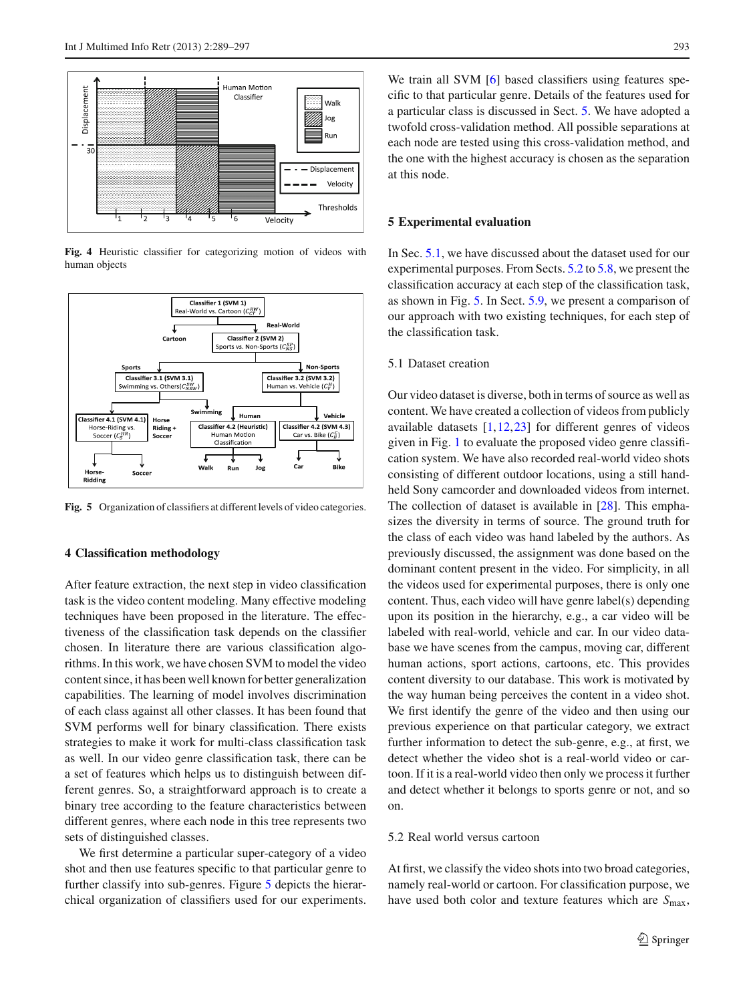

**Fig. 4** Heuristic classifier for categorizing motion of videos with human objects

<span id="page-4-2"></span>

<span id="page-4-3"></span>**Fig. 5** Organization of classifiers at different levels of video categories.

### <span id="page-4-0"></span>**4 Classification methodology**

After feature extraction, the next step in video classification task is the video content modeling. Many effective modeling techniques have been proposed in the literature. The effectiveness of the classification task depends on the classifier chosen. In literature there are various classification algorithms. In this work, we have chosen SVM to model the video content since, it has been well known for better generalization capabilities. The learning of model involves discrimination of each class against all other classes. It has been found that SVM performs well for binary classification. There exists strategies to make it work for multi-class classification task as well. In our video genre classification task, there can be a set of features which helps us to distinguish between different genres. So, a straightforward approach is to create a binary tree according to the feature characteristics between different genres, where each node in this tree represents two sets of distinguished classes.

We first determine a particular super-category of a video shot and then use features specific to that particular genre to further classify into sub-genres. Figure [5](#page-4-3) depicts the hierarchical organization of classifiers used for our experiments.

We train all SVM [\[6](#page-7-23)] based classifiers using features specific to that particular genre. Details of the features used for a particular class is discussed in Sect. [5.](#page-4-1) We have adopted a twofold cross-validation method. All possible separations at each node are tested using this cross-validation method, and the one with the highest accuracy is chosen as the separation at this node.

#### <span id="page-4-1"></span>**5 Experimental evaluation**

In Sec. [5.1,](#page-4-4) we have discussed about the dataset used for our experimental purposes. From Sects. [5.2](#page-4-5) to [5.8,](#page-6-0) we present the classification accuracy at each step of the classification task, as shown in Fig. [5.](#page-4-3) In Sect. [5.9,](#page-6-1) we present a comparison of our approach with two existing techniques, for each step of the classification task.

## <span id="page-4-4"></span>5.1 Dataset creation

Our video dataset is diverse, both in terms of source as well as content. We have created a collection of videos from publicly available datasets [\[1](#page-7-24),[12](#page-7-25),[23\]](#page-7-26) for different genres of videos given in Fig. [1](#page-1-0) to evaluate the proposed video genre classification system. We have also recorded real-world video shots consisting of different outdoor locations, using a still handheld Sony camcorder and downloaded videos from internet. The collection of dataset is available in [\[28](#page-8-5)]. This emphasizes the diversity in terms of source. The ground truth for the class of each video was hand labeled by the authors. As previously discussed, the assignment was done based on the dominant content present in the video. For simplicity, in all the videos used for experimental purposes, there is only one content. Thus, each video will have genre label(s) depending upon its position in the hierarchy, e.g., a car video will be labeled with real-world, vehicle and car. In our video database we have scenes from the campus, moving car, different human actions, sport actions, cartoons, etc. This provides content diversity to our database. This work is motivated by the way human being perceives the content in a video shot. We first identify the genre of the video and then using our previous experience on that particular category, we extract further information to detect the sub-genre, e.g., at first, we detect whether the video shot is a real-world video or cartoon. If it is a real-world video then only we process it further and detect whether it belongs to sports genre or not, and so on.

#### <span id="page-4-5"></span>5.2 Real world versus cartoon

At first, we classify the video shots into two broad categories, namely real-world or cartoon. For classification purpose, we have used both color and texture features which are *S*max,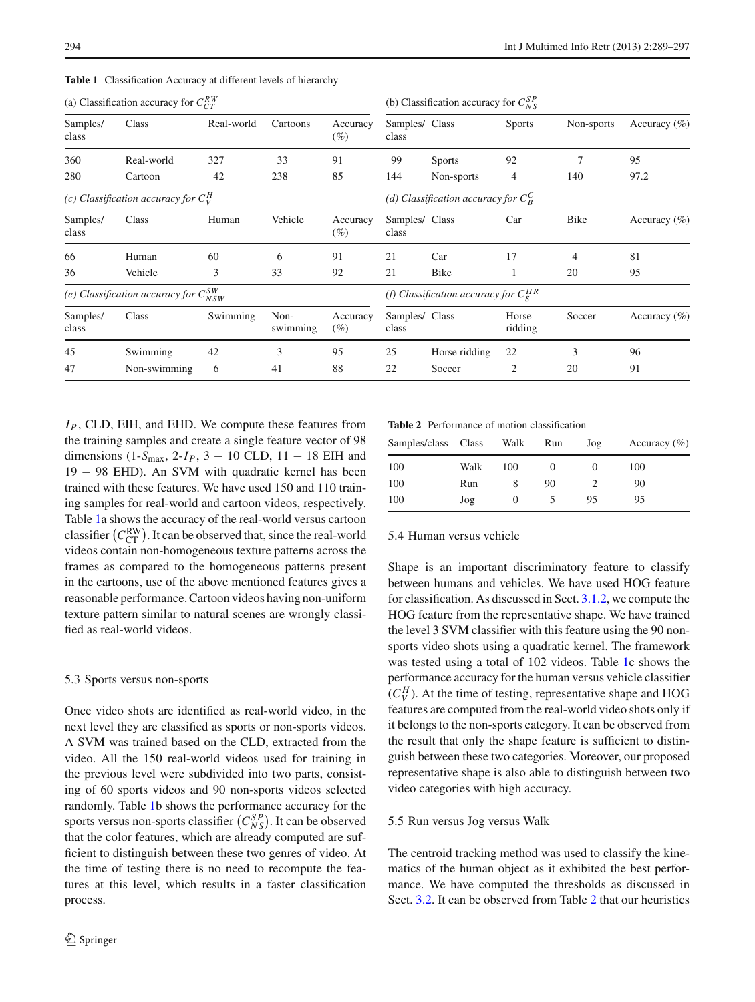<span id="page-5-0"></span>

| (a) Classification accuracy for $C_{CT}^{RW}$  |              |            |                  |                    | (b) Classification accuracy for $C_{NS}^{SP}$ |               |                  |            |                  |
|------------------------------------------------|--------------|------------|------------------|--------------------|-----------------------------------------------|---------------|------------------|------------|------------------|
| Samples/<br>class                              | Class        | Real-world | Cartoons         | Accuracy<br>$(\%)$ | Samples/ Class<br>class                       |               | <b>Sports</b>    | Non-sports | Accuracy $(\% )$ |
| 360                                            | Real-world   | 327        | 33               | 91                 | 99                                            | <b>Sports</b> | 92               | 7          | 95               |
| 280                                            | Cartoon      | 42         | 238              | 85                 | 144                                           | Non-sports    | 4                | 140        | 97.2             |
| (c) Classification accuracy for $C_v^H$        |              |            |                  |                    | (d) Classification accuracy for $C_p^C$       |               |                  |            |                  |
| Samples/<br>class                              | Class        | Human      | Vehicle          | Accuracy<br>$(\%)$ | Samples/ Class<br>class                       |               | Car              | Bike       | Accuracy $(\% )$ |
| 66                                             | Human        | 60         | 6                | 91                 | 21                                            | Car           | 17               | 4          | 81               |
| 36                                             | Vehicle      | 3          | 33               | 92                 | 21                                            | Bike          |                  | 20         | 95               |
| (e) Classification accuracy for $C_{NSW}^{SW}$ |              |            |                  |                    | (f) Classification accuracy for $C_s^{HR}$    |               |                  |            |                  |
| Samples/<br>class                              | Class        | Swimming   | Non-<br>swimming | Accuracy<br>$(\%)$ | Samples/ Class<br>class                       |               | Horse<br>ridding | Soccer     | Accuracy $(\% )$ |
| 45                                             | Swimming     | 42         | 3                | 95                 | 25                                            | Horse ridding | 22               | 3          | 96               |
| 47                                             | Non-swimming | 6          | 41               | 88                 | 22                                            | Soccer        | $\overline{c}$   | 20         | 91               |

**Table 1** Classification Accuracy at different levels of hierarchy

*IP*, CLD, EIH, and EHD. We compute these features from the training samples and create a single feature vector of 98 dimensions (1-*S*max, 2-*IP*, 3 − 10 CLD, 11 − 18 EIH and 19 − 98 EHD). An SVM with quadratic kernel has been trained with these features. We have used 150 and 110 training samples for real-world and cartoon videos, respectively. Table [1a](#page-5-0) shows the accuracy of the real-world versus cartoon classifier  $(C_{CT}^{RW})$ . It can be observed that, since the real-world videos contain non-homogeneous texture patterns across the frames as compared to the homogeneous patterns present in the cartoons, use of the above mentioned features gives a reasonable performance. Cartoon videos having non-uniform texture pattern similar to natural scenes are wrongly classified as real-world videos.

# 5.3 Sports versus non-sports

Once video shots are identified as real-world video, in the next level they are classified as sports or non-sports videos. A SVM was trained based on the CLD, extracted from the video. All the 150 real-world videos used for training in the previous level were subdivided into two parts, consisting of 60 sports videos and 90 non-sports videos selected randomly. Table [1b](#page-5-0) shows the performance accuracy for the sports versus non-sports classifier  $(C_{NS}^{SP})$ . It can be observed that the color features, which are already computed are sufficient to distinguish between these two genres of video. At the time of testing there is no need to recompute the features at this level, which results in a faster classification process.

#### **Table 2** Performance of motion classification

<span id="page-5-1"></span>

| Samples/class Class |      | Walk | Run | Jog | Accuracy $(\% )$ |
|---------------------|------|------|-----|-----|------------------|
| 100                 | Walk | 100  |     |     | 100              |
| 100                 | Run  |      | 90  |     | 90               |
| 100                 | Jog  |      |     | 95  | 95               |

# 5.4 Human versus vehicle

Shape is an important discriminatory feature to classify between humans and vehicles. We have used HOG feature for classification. As discussed in Sect. [3.1.2,](#page-2-2) we compute the HOG feature from the representative shape. We have trained the level 3 SVM classifier with this feature using the 90 nonsports video shots using a quadratic kernel. The framework was tested using a total of 102 videos. Table [1c](#page-5-0) shows the performance accuracy for the human versus vehicle classifier  $(C_V^H)$ . At the time of testing, representative shape and HOG features are computed from the real-world video shots only if it belongs to the non-sports category. It can be observed from the result that only the shape feature is sufficient to distinguish between these two categories. Moreover, our proposed representative shape is also able to distinguish between two video categories with high accuracy.

# 5.5 Run versus Jog versus Walk

The centroid tracking method was used to classify the kinematics of the human object as it exhibited the best performance. We have computed the thresholds as discussed in Sect. [3.2.](#page-3-1) It can be observed from Table [2](#page-5-1) that our heuristics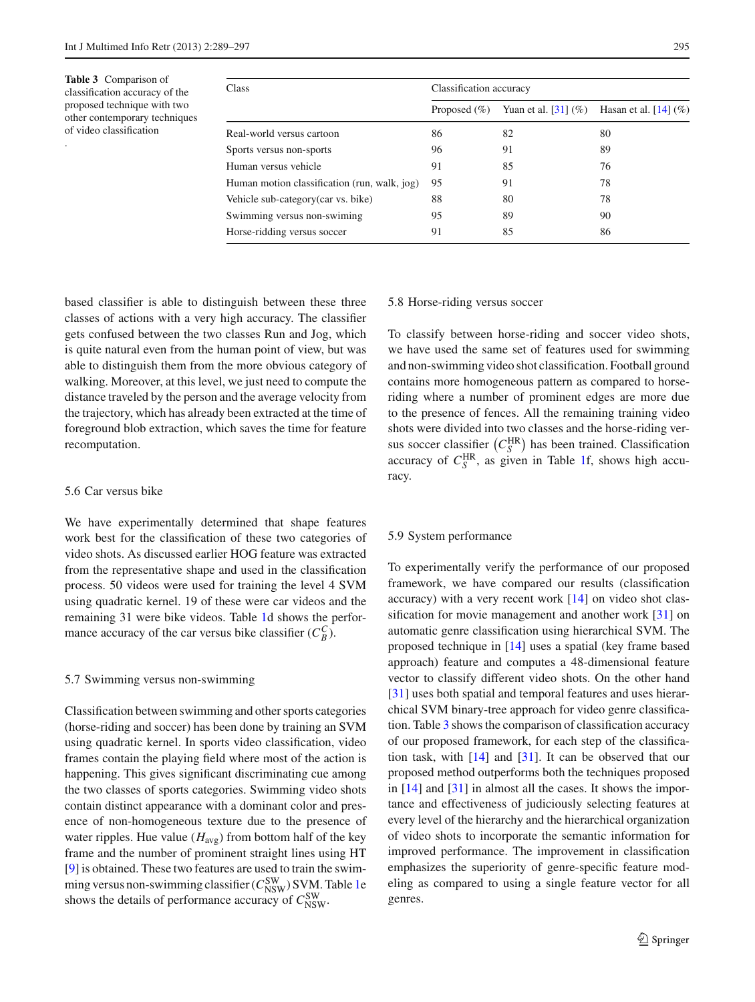<span id="page-6-2"></span>**Table 3** Comparison of classification accuracy of the proposed technique with two other contemporary techniques of video classification .

| Class                                        | Classification accuracy |                        |                         |  |  |  |
|----------------------------------------------|-------------------------|------------------------|-------------------------|--|--|--|
|                                              | Proposed $(\% )$        | Yuan et al. $[31]$ (%) | Hasan et al. $[14]$ (%) |  |  |  |
| Real-world versus cartoon                    | 86                      | 82                     | 80                      |  |  |  |
| Sports versus non-sports                     | 96                      | 91                     | 89                      |  |  |  |
| Human versus vehicle                         | 91                      | 85                     | 76                      |  |  |  |
| Human motion classification (run, walk, jog) | 95                      | 91                     | 78                      |  |  |  |
| Vehicle sub-category (car vs. bike)          | 88                      | 80                     | 78                      |  |  |  |
| Swimming versus non-swiming                  | 95                      | 89                     | 90                      |  |  |  |
| Horse-ridding versus soccer                  | 91                      | 85                     | 86                      |  |  |  |

based classifier is able to distinguish between these three classes of actions with a very high accuracy. The classifier gets confused between the two classes Run and Jog, which is quite natural even from the human point of view, but was able to distinguish them from the more obvious category of walking. Moreover, at this level, we just need to compute the distance traveled by the person and the average velocity from the trajectory, which has already been extracted at the time of foreground blob extraction, which saves the time for feature recomputation.

# 5.6 Car versus bike

We have experimentally determined that shape features work best for the classification of these two categories of video shots. As discussed earlier HOG feature was extracted from the representative shape and used in the classification process. 50 videos were used for training the level 4 SVM using quadratic kernel. 19 of these were car videos and the remaining 31 were bike videos. Table [1d](#page-5-0) shows the performance accuracy of the car versus bike classifier  $(C_B^C)$ .

#### 5.7 Swimming versus non-swimming

Classification between swimming and other sports categories (horse-riding and soccer) has been done by training an SVM using quadratic kernel. In sports video classification, video frames contain the playing field where most of the action is happening. This gives significant discriminating cue among the two classes of sports categories. Swimming video shots contain distinct appearance with a dominant color and presence of non-homogeneous texture due to the presence of water ripples. Hue value  $(H_{\text{avg}})$  from bottom half of the key frame and the number of prominent straight lines using HT [\[9](#page-7-22)] is obtained. These two features are used to train the swimming versus non-swimming classifier ( $C_{\text{NSW}}^{\text{SW}}$ ) SVM. Table [1e](#page-5-0) shows the details of performance accuracy of  $C_{\text{NSW}}^{\text{SW}}$ .

#### <span id="page-6-0"></span>5.8 Horse-riding versus soccer

To classify between horse-riding and soccer video shots, we have used the same set of features used for swimming and non-swimming video shot classification. Football ground contains more homogeneous pattern as compared to horseriding where a number of prominent edges are more due to the presence of fences. All the remaining training video shots were divided into two classes and the horse-riding versus soccer classifier  $(C_S^{\text{HR}})$  has been trained. Classification accuracy of  $C_S^{\text{HR}}$ , as given in Table [1f](#page-5-0), shows high accuracy.

#### <span id="page-6-1"></span>5.9 System performance

To experimentally verify the performance of our proposed framework, we have compared our results (classification accuracy) with a very recent work [\[14](#page-7-8)] on video shot classification for movie management and another work [\[31](#page-8-1)] on automatic genre classification using hierarchical SVM. The proposed technique in [\[14\]](#page-7-8) uses a spatial (key frame based approach) feature and computes a 48-dimensional feature vector to classify different video shots. On the other hand [\[31](#page-8-1)] uses both spatial and temporal features and uses hierarchical SVM binary-tree approach for video genre classification. Table [3](#page-6-2) shows the comparison of classification accuracy of our proposed framework, for each step of the classification task, with [\[14\]](#page-7-8) and [\[31\]](#page-8-1). It can be observed that our proposed method outperforms both the techniques proposed in [\[14\]](#page-7-8) and [\[31](#page-8-1)] in almost all the cases. It shows the importance and effectiveness of judiciously selecting features at every level of the hierarchy and the hierarchical organization of video shots to incorporate the semantic information for improved performance. The improvement in classification emphasizes the superiority of genre-specific feature modeling as compared to using a single feature vector for all genres.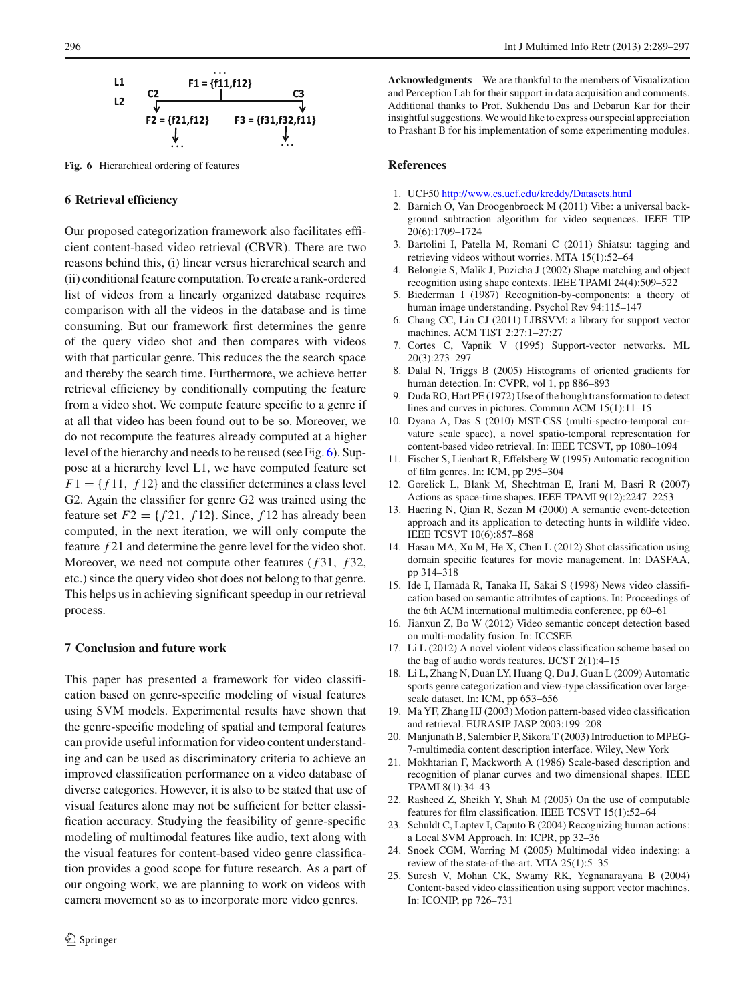

<span id="page-7-27"></span>**Fig. 6** Hierarchical ordering of features

# <span id="page-7-12"></span>**6 Retrieval efficiency**

Our proposed categorization framework also facilitates efficient content-based video retrieval (CBVR). There are two reasons behind this, (i) linear versus hierarchical search and (ii) conditional feature computation. To create a rank-ordered list of videos from a linearly organized database requires comparison with all the videos in the database and is time consuming. But our framework first determines the genre of the query video shot and then compares with videos with that particular genre. This reduces the the search space and thereby the search time. Furthermore, we achieve better retrieval efficiency by conditionally computing the feature from a video shot. We compute feature specific to a genre if at all that video has been found out to be so. Moreover, we do not recompute the features already computed at a higher level of the hierarchy and needs to be reused (see Fig. [6\)](#page-7-27). Suppose at a hierarchy level L1, we have computed feature set  $F1 = \{f11, f12\}$  and the classifier determines a class level G2. Again the classifier for genre G2 was trained using the feature set  $F2 = \{f21, f12\}$ . Since,  $f12$  has already been computed, in the next iteration, we will only compute the feature *f* 21 and determine the genre level for the video shot. Moreover, we need not compute other features ( *f* 31, *f* 32, etc.) since the query video shot does not belong to that genre. This helps us in achieving significant speedup in our retrieval process.

# <span id="page-7-13"></span>**7 Conclusion and future work**

This paper has presented a framework for video classification based on genre-specific modeling of visual features using SVM models. Experimental results have shown that the genre-specific modeling of spatial and temporal features can provide useful information for video content understanding and can be used as discriminatory criteria to achieve an improved classification performance on a video database of diverse categories. However, it is also to be stated that use of visual features alone may not be sufficient for better classification accuracy. Studying the feasibility of genre-specific modeling of multimodal features like audio, text along with the visual features for content-based video genre classification provides a good scope for future research. As a part of our ongoing work, we are planning to work on videos with camera movement so as to incorporate more video genres.

**Acknowledgments** We are thankful to the members of Visualization and Perception Lab for their support in data acquisition and comments. Additional thanks to Prof. Sukhendu Das and Debarun Kar for their insightful suggestions.We would like to express our special appreciation to Prashant B for his implementation of some experimenting modules.

# <span id="page-7-24"></span>**References**

- 1. UCF50 <http://www.cs.ucf.edu/kreddy/Datasets.html>
- <span id="page-7-18"></span>2. Barnich O, Van Droogenbroeck M (2011) Vibe: a universal background subtraction algorithm for video sequences. IEEE TIP 20(6):1709–1724
- <span id="page-7-9"></span>3. Bartolini I, Patella M, Romani C (2011) Shiatsu: tagging and retrieving videos without worries. MTA 15(1):52–64
- <span id="page-7-20"></span>4. Belongie S, Malik J, Puzicha J (2002) Shape matching and object recognition using shape contexts. IEEE TPAMI 24(4):509–522
- <span id="page-7-16"></span>5. Biederman I (1987) Recognition-by-components: a theory of human image understanding. Psychol Rev 94:115–147
- <span id="page-7-23"></span>6. Chang CC, Lin CJ (2011) LIBSVM: a library for support vector machines. ACM TIST 2:27:1–27:27
- <span id="page-7-14"></span>7. Cortes C, Vapnik V (1995) Support-vector networks. ML 20(3):273–297
- <span id="page-7-19"></span>8. Dalal N, Triggs B (2005) Histograms of oriented gradients for human detection. In: CVPR, vol 1, pp 886–893
- 9. Duda RO, Hart PE (1972) Use of the hough transformation to detect lines and curves in pictures. Commun ACM 15(1):11–15
- <span id="page-7-22"></span><span id="page-7-17"></span>10. Dyana A, Das S (2010) MST-CSS (multi-spectro-temporal curvature scale space), a novel spatio-temporal representation for content-based video retrieval. In: IEEE TCSVT, pp 1080–1094
- <span id="page-7-1"></span>11. Fischer S, Lienhart R, Effelsberg W (1995) Automatic recognition of film genres. In: ICM, pp 295–304
- <span id="page-7-25"></span>12. Gorelick L, Blank M, Shechtman E, Irani M, Basri R (2007) Actions as space-time shapes. IEEE TPAMI 9(12):2247–2253
- <span id="page-7-2"></span>13. Haering N, Qian R, Sezan M (2000) A semantic event-detection approach and its application to detecting hunts in wildlife video. IEEE TCSVT 10(6):857–868
- <span id="page-7-8"></span>14. Hasan MA, Xu M, He X, Chen L (2012) Shot classification using domain specific features for movie management. In: DASFAA, pp 314–318
- <span id="page-7-3"></span>15. Ide I, Hamada R, Tanaka H, Sakai S (1998) News video classification based on semantic attributes of captions. In: Proceedings of the 6th ACM international multimedia conference, pp 60–61
- <span id="page-7-11"></span>16. Jianxun Z, Bo W (2012) Video semantic concept detection based on multi-modality fusion. In: ICCSEE
- <span id="page-7-10"></span>17. Li L (2012) A novel violent videos classification scheme based on the bag of audio words features. IJCST 2(1):4–15
- <span id="page-7-7"></span>18. Li L, Zhang N, Duan LY, Huang Q, Du J, Guan L (2009) Automatic sports genre categorization and view-type classification over largescale dataset. In: ICM, pp 653–656
- <span id="page-7-4"></span>19. Ma YF, Zhang HJ (2003) Motion pattern-based video classification and retrieval. EURASIP JASP 2003:199–208
- <span id="page-7-15"></span>20. Manjunath B, Salembier P, Sikora T (2003) Introduction to MPEG-7-multimedia content description interface. Wiley, New York
- <span id="page-7-21"></span>21. Mokhtarian F, Mackworth A (1986) Scale-based description and recognition of planar curves and two dimensional shapes. IEEE TPAMI 8(1):34–43
- <span id="page-7-6"></span>22. Rasheed Z, Sheikh Y, Shah M (2005) On the use of computable features for film classification. IEEE TCSVT 15(1):52–64
- <span id="page-7-26"></span>23. Schuldt C, Laptev I, Caputo B (2004) Recognizing human actions: a Local SVM Approach. In: ICPR, pp 32–36
- <span id="page-7-0"></span>24. Snoek CGM, Worring M (2005) Multimodal video indexing: a review of the state-of-the-art. MTA 25(1):5–35
- <span id="page-7-5"></span>25. Suresh V, Mohan CK, Swamy RK, Yegnanarayana B (2004) Content-based video classification using support vector machines. In: ICONIP, pp 726–731